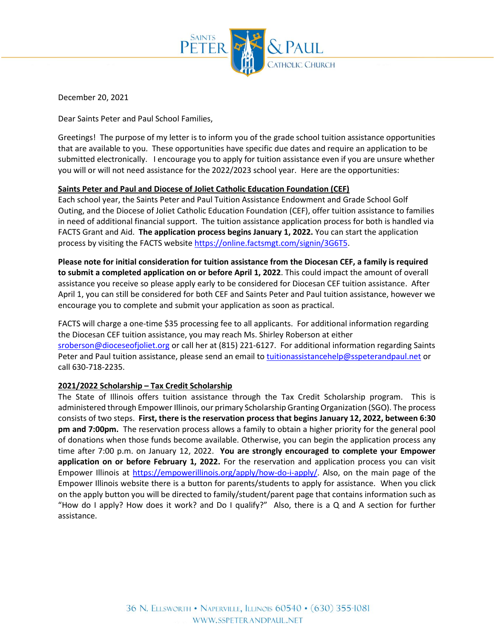

December 20, 2021

Dear Saints Peter and Paul School Families,

Greetings! The purpose of my letter is to inform you of the grade school tuition assistance opportunities that are available to you. These opportunities have specific due dates and require an application to be submitted electronically. I encourage you to apply for tuition assistance even if you are unsure whether you will or will not need assistance for the 2022/2023 school year. Here are the opportunities:

## **Saints Peter and Paul and Diocese of Joliet Catholic Education Foundation (CEF)**

Each school year, the Saints Peter and Paul Tuition Assistance Endowment and Grade School Golf Outing, and the Diocese of Joliet Catholic Education Foundation (CEF), offer tuition assistance to families in need of additional financial support. The tuition assistance application process for both is handled via FACTS Grant and Aid. **The application process begins January 1, 2022.** You can start the application process by visiting the FACTS website [https://online.factsmgt.com/signin/3G6T5.](https://online.factsmgt.com/signin/3G6T5)

**Please note for initial consideration for tuition assistance from the Diocesan CEF, a family is required to submit a completed application on or before April 1, 2022**. This could impact the amount of overall assistance you receive so please apply early to be considered for Diocesan CEF tuition assistance. After April 1, you can still be considered for both CEF and Saints Peter and Paul tuition assistance, however we encourage you to complete and submit your application as soon as practical.

FACTS will charge a one-time \$35 processing fee to all applicants. For additional information regarding the Diocesan CEF tuition assistance, you may reach Ms. Shirley Roberson at either [sroberson@dioceseofjoliet.org](mailto:sroberson@dioceseofjoliet.org) or call her at (815) 221-6127. For additional information regarding Saints Peter and Paul tuition assistance, please send an email t[o tuitionassistancehelp@sspeterandpaul.net](mailto:tuitionassistancehelp@sspeterandpaul.net) or call 630-718-2235.

## **2021/2022 Scholarship – Tax Credit Scholarship**

The State of Illinois offers tuition assistance through the Tax Credit Scholarship program. This is administered through Empower Illinois, our primary Scholarship Granting Organization (SGO). The process consists of two steps. **First, there is the reservation process that begins January 12, 2022, between 6:30 pm and 7:00pm.** The reservation process allows a family to obtain a higher priority for the general pool of donations when those funds become available. Otherwise, you can begin the application process any time after 7:00 p.m. on January 12, 2022. **You are strongly encouraged to complete your Empower application on or before February 1, 2022.** For the reservation and application process you can visit Empower Illinois at [https://empowerillinois.org/apply/how-do-i-apply/.](https://empowerillinois.org/apply/how-do-i-apply/) Also, on the main page of the Empower Illinois website there is a button for parents/students to apply for assistance. When you click on the apply button you will be directed to family/student/parent page that contains information such as "How do I apply? How does it work? and Do I qualify?" Also, there is a Q and A section for further assistance.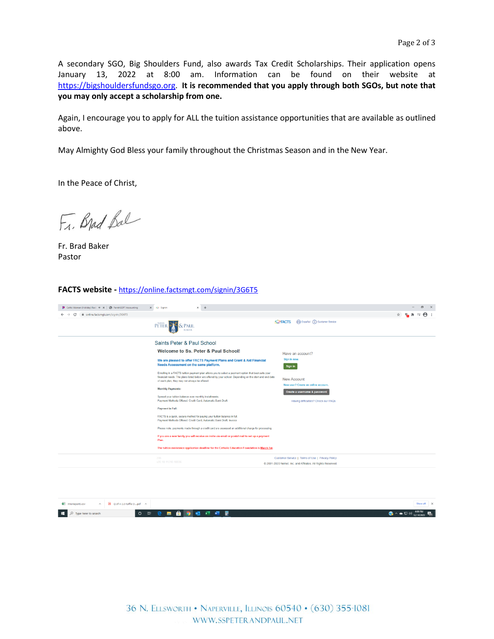A secondary SGO, Big Shoulders Fund, also awards Tax Credit Scholarships. Their application opens January 13, 2022 at 8:00 am. Information can be found on their website at [https://bigshouldersfundsgo.org.](https://urldefense.proofpoint.com/v2/url?u=https-3A__bigshouldersfundsgo.org&d=DwMFAg&c=euGZstcaTDllvimEN8b7jXrwqOf-v5A_CdpgnVfiiMM&r=KbOkuPVatAgG5EI_kQvMoHJkZW2YSWDPwBju-JeZRuI&m=qdyty44-cGaOa7Bg1GYzTI3k2bFRZW2ZQVemU4QxxaI&s=ntpVn06NOk3FidH1k7_YmlxPVpRhEtBvH1eo4S3dmBM&e=) **It is recommended that you apply through both SGOs, but note that you may only accept a scholarship from one.**

Again, I encourage you to apply for ALL the tuition assistance opportunities that are available as outlined above.

May Almighty God Bless your family throughout the Christmas Season and in the New Year.

In the Peace of Christ,

Fr. Brad Bal

Fr. Brad Baker Pastor

## **FACTS website -** <https://online.factsmgt.com/signin/3G6T5>



| <b>D</b> XtraReport3.csv A <b>A</b> Q of H 2.0 Raffle Dpdf A |  |  |  |  |                 |                                                                                                                                                          | Show all X |  |
|--------------------------------------------------------------|--|--|--|--|-----------------|----------------------------------------------------------------------------------------------------------------------------------------------------------|------------|--|
| $\Box$ $\Box$ Type here to search                            |  |  |  |  | ○ 2 8 8 9 4 4 图 | $\left  \bigodot \right  \wedge \bullet \Box \; \downarrow \rangle$ 409 PM $\left  \bigodot \limits_{12/14/2020}$ $\left  \bigodot \limits_{20} \right $ |            |  |